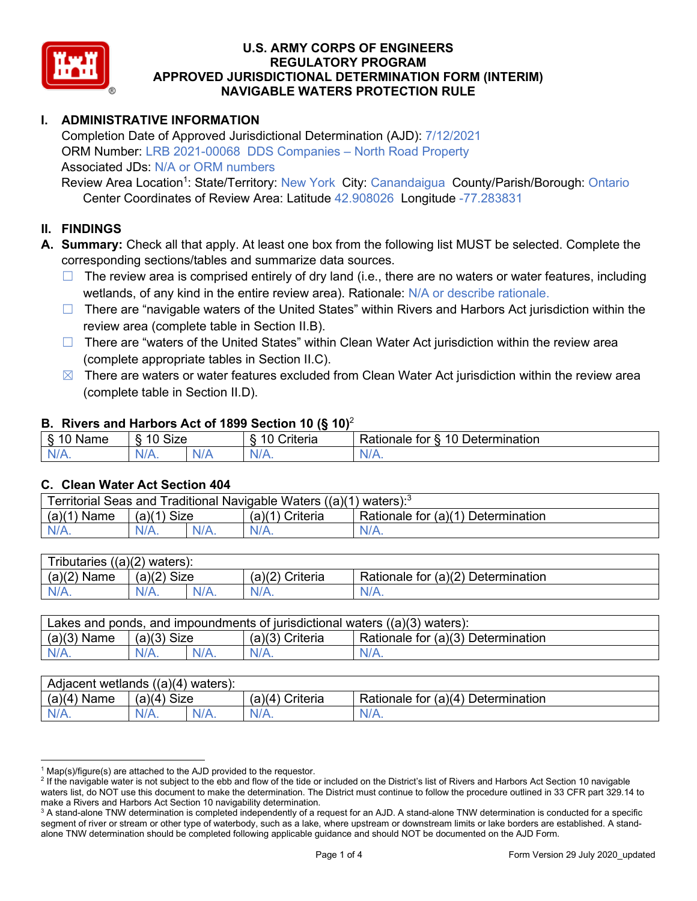

# **I. ADMINISTRATIVE INFORMATION**

Completion Date of Approved Jurisdictional Determination (AJD): 7/12/2021 ORM Number: LRB 2021-00068 DDS Companies – North Road Property Associated JDs: N/A or ORM numbers

Review Area Location<sup>1</sup>: State/Territory: New York City: Canandaigua County/Parish/Borough: Ontario Center Coordinates of Review Area: Latitude 42.908026 Longitude -77.283831

## **II. FINDINGS**

**A. Summary:** Check all that apply. At least one box from the following list MUST be selected. Complete the corresponding sections/tables and summarize data sources.

- $\Box$  The review area is comprised entirely of dry land (i.e., there are no waters or water features, including wetlands, of any kind in the entire review area). Rationale: N/A or describe rationale.
- $\Box$  There are "navigable waters of the United States" within Rivers and Harbors Act jurisdiction within the review area (complete table in Section II.B).
- ☐ There are "waters of the United States" within Clean Water Act jurisdiction within the review area (complete appropriate tables in Section II.C).
- $\boxtimes$  There are waters or water features excluded from Clean Water Act jurisdiction within the review area (complete table in Section II.D).

### **B. Rivers and Harbors Act of 1899 Section 10 (§ 10)**<sup>2</sup>

| $\cdot$        |                                            |               |                                          |                                               |  |
|----------------|--------------------------------------------|---------------|------------------------------------------|-----------------------------------------------|--|
| $\sim$<br>Name | <b>Size</b><br>$\overline{A}$<br>C)<br>ιv. |               | 10<br>. .<br>$"$ ritorio<br>ונסו וכ<br>u | Determination<br>$\Delta$<br>'ationale<br>tor |  |
| N/L<br>. .     | NIZ<br>97 / TV .                           | 'NH a<br>vi r |                                          | N/A.                                          |  |

#### **C. Clean Water Act Section 404**

| Territorial Seas and Traditional Navigable Waters $((a)(1)$ waters): <sup>3</sup> |                |  |                   |                                    |  |
|-----------------------------------------------------------------------------------|----------------|--|-------------------|------------------------------------|--|
| (a)(1)<br>Name                                                                    | Size<br>(a)(1) |  | $(a)(1)$ Criteria | Rationale for (a)(1) Determination |  |
|                                                                                   | N/A.           |  | $N/A$ .           | $N/A$ .                            |  |

| Tributaries<br>$((a)(2)$ waters): |                       |         |                    |                                    |  |  |
|-----------------------------------|-----------------------|---------|--------------------|------------------------------------|--|--|
| (a)(2)<br>Name                    | (a)(2)<br><b>Size</b> |         | (a)(2)<br>Criteria | Rationale for (a)(2) Determination |  |  |
| $N/A$ .                           | N/A.                  | $N/A$ . | $N/A$ .            | N/A.                               |  |  |

| Lakes and ponds, and impoundments of jurisdictional waters $((a)(3)$ waters): |               |  |                   |                                    |  |
|-------------------------------------------------------------------------------|---------------|--|-------------------|------------------------------------|--|
| $(a)(3)$ Name                                                                 | $(a)(3)$ Size |  | $(a)(3)$ Criteria | Rationale for (a)(3) Determination |  |
| $N/A$ .                                                                       | $N/A$ .       |  | $N/A$ .           | $N/A$ .                            |  |

| Adjacent wetlands<br>$((a)(4)$ waters): |                       |         |                   |                                    |  |  |
|-----------------------------------------|-----------------------|---------|-------------------|------------------------------------|--|--|
| (a)(4)<br>Name                          | (a)(4)<br><b>Size</b> |         | (a)(4<br>Criteria | Rationale for (a)(4) Determination |  |  |
| N/A.                                    | $N/A$ .               | $N/A$ . | $N/A$ .           | $N/A$ .                            |  |  |

 $1$  Map(s)/figure(s) are attached to the AJD provided to the requestor.

<sup>&</sup>lt;sup>2</sup> If the navigable water is not subject to the ebb and flow of the tide or included on the District's list of Rivers and Harbors Act Section 10 navigable waters list, do NOT use this document to make the determination. The District must continue to follow the procedure outlined in 33 CFR part 329.14 to make a Rivers and Harbors Act Section 10 navigability determination.

<sup>&</sup>lt;sup>3</sup> A stand-alone TNW determination is completed independently of a request for an AJD. A stand-alone TNW determination is conducted for a specific segment of river or stream or other type of waterbody, such as a lake, where upstream or downstream limits or lake borders are established. A standalone TNW determination should be completed following applicable guidance and should NOT be documented on the AJD Form.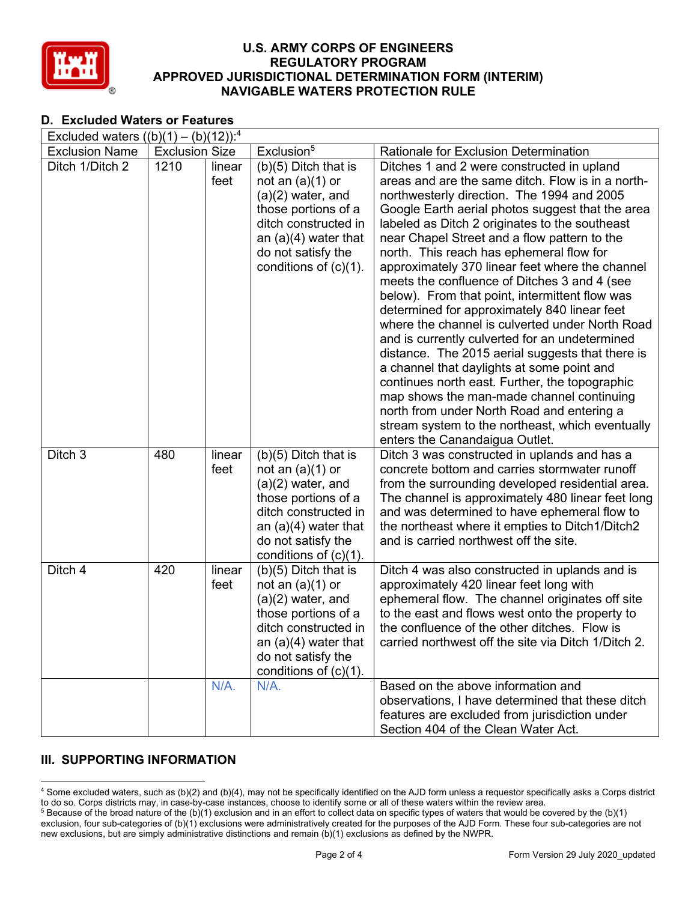

# **D. Excluded Waters or Features**

| Excluded waters $((b)(1) - (b)(12))$ : <sup>4</sup> |                       |         |                                              |                                                                                                |  |
|-----------------------------------------------------|-----------------------|---------|----------------------------------------------|------------------------------------------------------------------------------------------------|--|
| <b>Exclusion Name</b>                               | <b>Exclusion Size</b> |         | Exclusion <sup>5</sup>                       | Rationale for Exclusion Determination                                                          |  |
| Ditch 1/Ditch 2                                     | 1210                  | linear  | $(b)(5)$ Ditch that is                       | Ditches 1 and 2 were constructed in upland                                                     |  |
|                                                     |                       | feet    | not an $(a)(1)$ or                           | areas and are the same ditch. Flow is in a north-                                              |  |
|                                                     |                       |         | $(a)(2)$ water, and                          | northwesterly direction. The 1994 and 2005                                                     |  |
|                                                     |                       |         | those portions of a                          | Google Earth aerial photos suggest that the area                                               |  |
|                                                     |                       |         | ditch constructed in                         | labeled as Ditch 2 originates to the southeast                                                 |  |
|                                                     |                       |         | an $(a)(4)$ water that                       | near Chapel Street and a flow pattern to the                                                   |  |
|                                                     |                       |         | do not satisfy the                           | north. This reach has ephemeral flow for                                                       |  |
|                                                     |                       |         | conditions of $(c)(1)$ .                     | approximately 370 linear feet where the channel                                                |  |
|                                                     |                       |         |                                              | meets the confluence of Ditches 3 and 4 (see                                                   |  |
|                                                     |                       |         |                                              | below). From that point, intermittent flow was                                                 |  |
|                                                     |                       |         |                                              | determined for approximately 840 linear feet                                                   |  |
|                                                     |                       |         |                                              | where the channel is culverted under North Road                                                |  |
|                                                     |                       |         |                                              | and is currently culverted for an undetermined                                                 |  |
|                                                     |                       |         |                                              | distance. The 2015 aerial suggests that there is<br>a channel that daylights at some point and |  |
|                                                     |                       |         |                                              | continues north east. Further, the topographic                                                 |  |
|                                                     |                       |         |                                              | map shows the man-made channel continuing                                                      |  |
|                                                     |                       |         |                                              | north from under North Road and entering a                                                     |  |
|                                                     |                       |         |                                              | stream system to the northeast, which eventually                                               |  |
|                                                     |                       |         |                                              | enters the Canandaigua Outlet.                                                                 |  |
| Ditch 3                                             | 480                   | linear  | $(b)(5)$ Ditch that is                       | Ditch 3 was constructed in uplands and has a                                                   |  |
|                                                     |                       | feet    | not an $(a)(1)$ or                           | concrete bottom and carries stormwater runoff                                                  |  |
|                                                     |                       |         | $(a)(2)$ water, and                          | from the surrounding developed residential area.                                               |  |
|                                                     |                       |         | those portions of a                          | The channel is approximately 480 linear feet long                                              |  |
|                                                     |                       |         | ditch constructed in                         | and was determined to have ephemeral flow to                                                   |  |
|                                                     |                       |         | an $(a)(4)$ water that                       | the northeast where it empties to Ditch1/Ditch2                                                |  |
|                                                     |                       |         | do not satisfy the                           | and is carried northwest off the site.                                                         |  |
|                                                     |                       |         | conditions of $(c)(1)$ .                     |                                                                                                |  |
| Ditch 4                                             | 420                   | linear  | $(b)(5)$ Ditch that is                       | Ditch 4 was also constructed in uplands and is                                                 |  |
|                                                     |                       | feet    | not an $(a)(1)$ or                           | approximately 420 linear feet long with                                                        |  |
|                                                     |                       |         | $(a)(2)$ water, and                          | ephemeral flow. The channel originates off site                                                |  |
|                                                     |                       |         | those portions of a                          | to the east and flows west onto the property to                                                |  |
|                                                     |                       |         | ditch constructed in                         | the confluence of the other ditches. Flow is                                                   |  |
|                                                     |                       |         | an $(a)(4)$ water that<br>do not satisfy the | carried northwest off the site via Ditch 1/Ditch 2.                                            |  |
|                                                     |                       |         | conditions of $(c)(1)$ .                     |                                                                                                |  |
|                                                     |                       | $N/A$ . | $N/A$ .                                      | Based on the above information and                                                             |  |
|                                                     |                       |         |                                              | observations, I have determined that these ditch                                               |  |
|                                                     |                       |         |                                              | features are excluded from jurisdiction under                                                  |  |
|                                                     |                       |         |                                              | Section 404 of the Clean Water Act.                                                            |  |

# **III. SUPPORTING INFORMATION**

<sup>4</sup> Some excluded waters, such as (b)(2) and (b)(4), may not be specifically identified on the AJD form unless a requestor specifically asks a Corps district to do so. Corps districts may, in case-by-case instances, choose to identify some or all of these waters within the review area.  $5$  Because of the broad nature of the (b)(1) exclusion and in an effort to collect data on specific types of waters that would be covered by the (b)(1)

exclusion, four sub-categories of (b)(1) exclusions were administratively created for the purposes of the AJD Form. These four sub-categories are not new exclusions, but are simply administrative distinctions and remain (b)(1) exclusions as defined by the NWPR.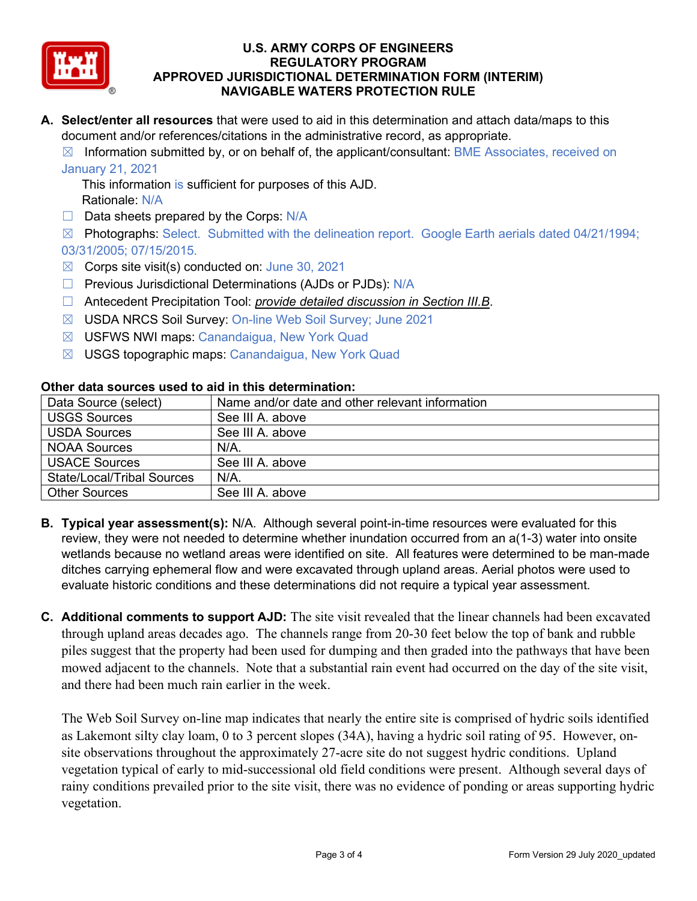

**A. Select/enter all resources** that were used to aid in this determination and attach data/maps to this document and/or references/citations in the administrative record, as appropriate.

 $\boxtimes$  Information submitted by, or on behalf of, the applicant/consultant: BME Associates, received on January 21, 2021

This information is sufficient for purposes of this AJD. Rationale: N/A

 $\Box$  Data sheets prepared by the Corps: N/A

☒ Photographs: Select. Submitted with the delineation report. Google Earth aerials dated 04/21/1994; 03/31/2005; 07/15/2015.

- $\boxtimes$  Corps site visit(s) conducted on: June 30, 2021
- □ Previous Jurisdictional Determinations (AJDs or PJDs): N/A
- ☐ Antecedent Precipitation Tool: *provide detailed discussion in Section III.B*.
- ☒ USDA NRCS Soil Survey: On-line Web Soil Survey; June 2021
- ☒ USFWS NWI maps: Canandaigua, New York Quad
- ☒ USGS topographic maps: Canandaigua, New York Quad

| Data Source (select)              | Name and/or date and other relevant information |
|-----------------------------------|-------------------------------------------------|
| <b>USGS Sources</b>               | See III A. above                                |
| <b>USDA Sources</b>               | See III A, above                                |
| <b>NOAA Sources</b>               | $N/A$ .                                         |
| <b>USACE Sources</b>              | See III A. above                                |
| <b>State/Local/Tribal Sources</b> | $N/A$ .                                         |
| <b>Other Sources</b>              | See III A, above                                |

#### **Other data sources used to aid in this determination:**

- **B. Typical year assessment(s):** N/A. Although several point-in-time resources were evaluated for this review, they were not needed to determine whether inundation occurred from an a(1-3) water into onsite wetlands because no wetland areas were identified on site. All features were determined to be man-made ditches carrying ephemeral flow and were excavated through upland areas. Aerial photos were used to evaluate historic conditions and these determinations did not require a typical year assessment.
- **C. Additional comments to support AJD:** The site visit revealed that the linear channels had been excavated through upland areas decades ago. The channels range from 20-30 feet below the top of bank and rubble piles suggest that the property had been used for dumping and then graded into the pathways that have been mowed adjacent to the channels. Note that a substantial rain event had occurred on the day of the site visit, and there had been much rain earlier in the week.

The Web Soil Survey on-line map indicates that nearly the entire site is comprised of hydric soils identified as Lakemont silty clay loam, 0 to 3 percent slopes (34A), having a hydric soil rating of 95. However, onsite observations throughout the approximately 27-acre site do not suggest hydric conditions. Upland vegetation typical of early to mid-successional old field conditions were present. Although several days of rainy conditions prevailed prior to the site visit, there was no evidence of ponding or areas supporting hydric vegetation.